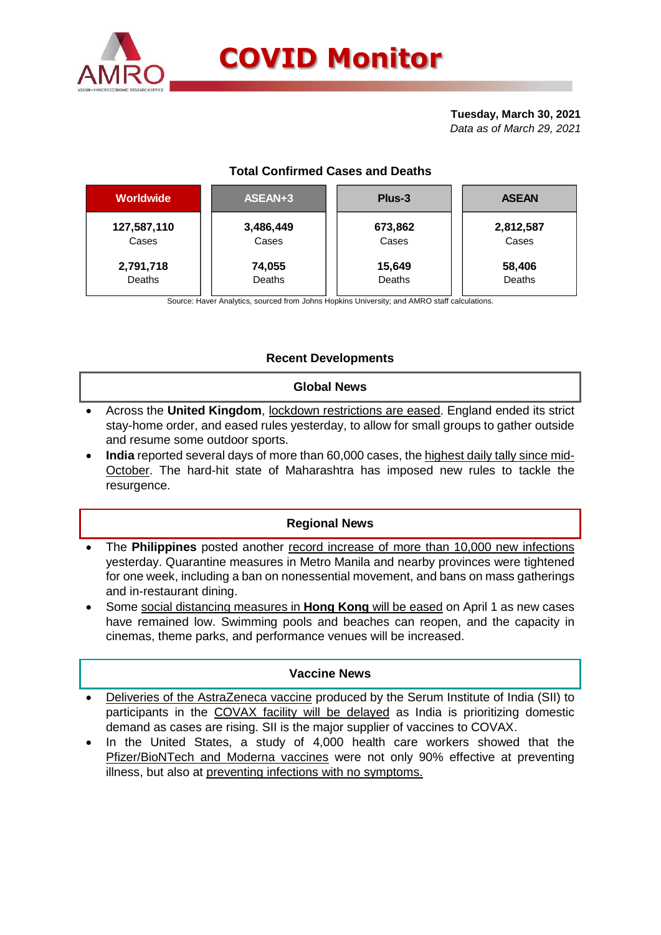

#### **Tuesday, March 30, 2021** *Data as of March 29, 2021*

# **Total Confirmed Cases and Deaths**

| <b>Worldwide</b> | ASEAN+3   | Plus-3  | <b>ASEAN</b> |  |  |
|------------------|-----------|---------|--------------|--|--|
| 127,587,110      | 3,486,449 | 673,862 | 2,812,587    |  |  |
| Cases            | Cases     | Cases   | Cases        |  |  |
| 2,791,718        | 74,055    | 15,649  | 58,406       |  |  |
| Deaths           | Deaths    | Deaths  | Deaths       |  |  |

Source: Haver Analytics, sourced from Johns Hopkins University; and AMRO staff calculations.

# **Recent Developments**

#### **Global News**

- Across the **United Kingdom**, lockdown restrictions are eased. England ended its strict stay-home order, and eased rules yesterday, to allow for small groups to gather outside and resume some outdoor sports.
- **India** reported several days of more than 60,000 cases, the highest daily tally since mid-October. The hard-hit state of Maharashtra has imposed new rules to tackle the resurgence.

### **Regional News**

- The **Philippines** posted another record increase of more than 10,000 new infections yesterday. Quarantine measures in Metro Manila and nearby provinces were tightened for one week, including a ban on nonessential movement, and bans on mass gatherings and in-restaurant dining.
- Some social distancing measures in **Hong Kong** will be eased on April 1 as new cases have remained low. Swimming pools and beaches can reopen, and the capacity in cinemas, theme parks, and performance venues will be increased.

### **Vaccine News**

- Deliveries of the AstraZeneca vaccine produced by the Serum Institute of India (SII) to participants in the COVAX facility will be delayed as India is prioritizing domestic demand as cases are rising. SII is the major supplier of vaccines to COVAX.
- In the United States, a study of 4,000 health care workers showed that the Pfizer/BioNTech and Moderna vaccines were not only 90% effective at preventing illness, but also at preventing infections with no symptoms.